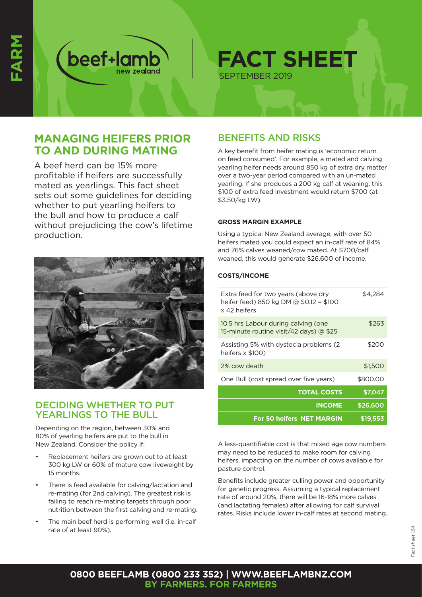

**FACT SHEET** SEPTEMBER 2019

# **MANAGING HEIFERS PRIOR TO AND DURING MATING**

A beef herd can be 15% more profitable if heifers are successfully mated as yearlings. This fact sheet sets out some guidelines for deciding whether to put yearling heifers to the bull and how to produce a calf without prejudicing the cow's lifetime production.



### DECIDING WHETHER TO PUT YEARLINGS TO THE BULL

Depending on the region, between 30% and 80% of yearling heifers are put to the bull in New Zealand. Consider the policy if:

- Replacement heifers are grown out to at least 300 kg LW or 60% of mature cow liveweight by 15 months.
- There is feed available for calving/lactation and re-mating (for 2nd calving). The greatest risk is failing to reach re-mating targets through poor nutrition between the first calving and re-mating.
- The main beef herd is performing well (i.e. in-calf rate of at least 90%).

# BENEFITS AND RISKS

A key benefit from heifer mating is 'economic return on feed consumed'. For example, a mated and calving yearling heifer needs around 850 kg of extra dry matter over a two-year period compared with an un-mated yearling. If she produces a 200 kg calf at weaning, this \$100 of extra feed investment would return \$700 (at \$3.50/kg LW).

### **GROSS MARGIN EXAMPLE**

Using a typical New Zealand average, with over 50 heifers mated you could expect an in-calf rate of 84% and 76% calves weaned/cow mated. At \$700/calf weaned, this would generate \$26,600 of income.

### **COSTS/INCOME**

| Extra feed for two years (above dry<br>heifer feed) 850 kg DM @ \$0.12 = \$100<br>x 42 heifers | \$4.284  |
|------------------------------------------------------------------------------------------------|----------|
| 10.5 hrs Labour during calving (one<br>15-minute routine visit/42 days) $\omega$ \$25          | \$263    |
| Assisting 5% with dystocia problems (2)<br>heifers x \$100)                                    | \$200    |
| 2% cow death                                                                                   | \$1,500  |
| One Bull (cost spread over five years)                                                         | \$800.00 |
| <b>TOTAL COSTS</b>                                                                             | \$7,047  |
| <b>INCOME</b>                                                                                  | \$26,600 |
| <b>For 50 heifers NET MARGIN</b>                                                               | \$19.553 |

A less-quantifiable cost is that mixed age cow numbers may need to be reduced to make room for calving heifers, impacting on the number of cows available for pasture control.

Benefits include greater culling power and opportunity for genetic progress. Assuming a typical replacement rate of around 20%, there will be 16-18% more calves (and lactating females) after allowing for calf survival rates. Risks include lower in-calf rates at second mating.

### **0800 BEEFLAMB (0800 233 352) | WWW.BEEFLAMBNZ.COM BY FARMERS. FOR FARMERS**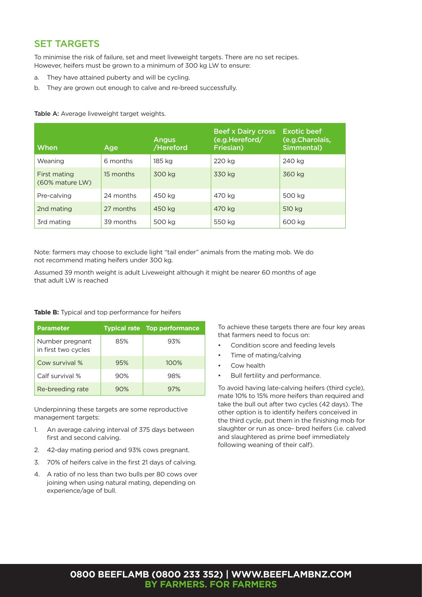## SET TARGETS

To minimise the risk of failure, set and meet liveweight targets. There are no set recipes. However, heifers must be grown to a minimum of 300 kg LW to ensure:

- a. They have attained puberty and will be cycling.
- b. They are grown out enough to calve and re-breed successfully.

| When                            | Age       | <b>Angus</b><br>/Hereford | <b>Beef x Dairy cross</b><br>(e.g.Hereford/<br>Friesian) | <b>Exotic beef</b><br>(e.g.Charolais,<br>Simmental) |
|---------------------------------|-----------|---------------------------|----------------------------------------------------------|-----------------------------------------------------|
| Weaning                         | 6 months  | 185 ka                    | 220 kg                                                   | 240 kg                                              |
| First mating<br>(60% mature LW) | 15 months | 300 kg                    | 330 kg                                                   | 360 kg                                              |
| Pre-calving                     | 24 months | 450 kg                    | 470 ka                                                   | 500 kg                                              |
| 2nd mating                      | 27 months | 450 kg                    | 470 kg                                                   | 510 kg                                              |
| 3rd mating                      | 39 months | 500 kg                    | 550 kg                                                   | 600 kg                                              |

Table A: Average liveweight target weights.

Note: farmers may choose to exclude light "tail ender" animals from the mating mob. We do not recommend mating heifers under 300 kg.

Assumed 39 month weight is adult Liveweight although it might be nearer 60 months of age that adult LW is reached

#### **Table B:** Typical and top performance for heifers

| <b>Parameter</b>                       |     | <b>Typical rate Top performance</b> |
|----------------------------------------|-----|-------------------------------------|
| Number pregnant<br>in first two cycles | 85% | 93%                                 |
| Cow survival %                         | 95% | 100%                                |
| Calf survival %                        | 90% | 98%                                 |
| Re-breeding rate                       | 90% | 97%                                 |

Underpinning these targets are some reproductive management targets:

- 1. An average calving interval of 375 days between first and second calving.
- 2. 42-day mating period and 93% cows pregnant.
- 3. 70% of heifers calve in the first 21 days of calving.
- 4. A ratio of no less than two bulls per 80 cows over joining when using natural mating, depending on experience/age of bull.

To achieve these targets there are four key areas that farmers need to focus on:

- Condition score and feeding levels
- Time of mating/calving
- Cow health
- Bull fertility and performance.

To avoid having late-calving heifers (third cycle), mate 10% to 15% more heifers than required and take the bull out after two cycles (42 days). The other option is to identify heifers conceived in the third cycle, put them in the finishing mob for slaughter or run as once- bred heifers (i.e. calved and slaughtered as prime beef immediately following weaning of their calf).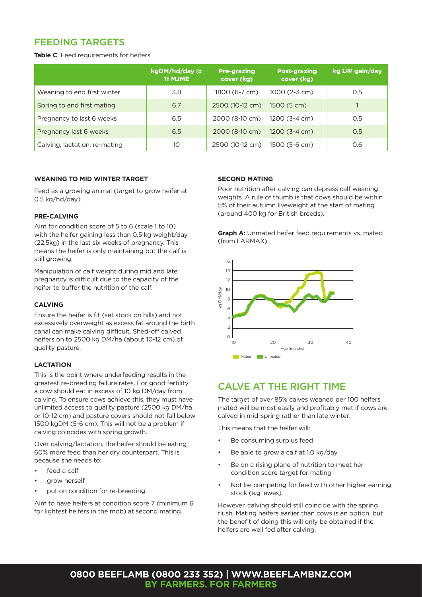## FEEDING TARGETS

**Table C**: Feed requirements for heifers

|                               | kgDM/hd/day @<br><b>11 MJME</b> | <b>Pre-grazing</b><br>cover (kg) | <b>Post-grazing</b><br>cover (kg) | kg LW gain/day |
|-------------------------------|---------------------------------|----------------------------------|-----------------------------------|----------------|
| Weaning to end first winter   | 3.8                             | 1800 (6-7 cm)                    | 1000 (2-3 cm)                     | O.5            |
| Spring to end first mating    | 6.7                             | 2500 (10-12 cm)                  | 1500 (5 cm)                       |                |
| Pregnancy to last 6 weeks     | 6.5                             | 2000 (8-10 cm)                   | $1200(3-4 cm)$                    | 0.5            |
| Pregnancy last 6 weeks        | 6.5                             | 2000 (8-10 cm)                   | $1200(3-4 cm)$                    | 0.5            |
| Calving, lactation, re-mating | 10                              | 2500 (10-12 cm)                  | 1500 (5-6 cm)                     | 0.6            |

#### **WEANING TO MID WINTER TARGET**

Feed as a growing animal (target to grow heifer at 0.5 kg/hd/day).

#### **PRE-CALVING**

Aim for condition score of 5 to 6 (scale 1 to 10) with the heifer gaining less than 0.5 kg weight/day (22.5kg) in the last six weeks of pregnancy. This means the heifer is only maintaining but the calf is still growing.

Manipulation of calf weight during mid and late pregnancy is difficult due to the capacity of the heifer to buffer the nutrition of the calf.

### **CALVING**

Ensure the heifer is fit (set stock on hills) and not excessively overweight as excess fat around the birth canal can make calving difficult. Shed-off calved heifers on to 2500 kg DM/ha (about 10-12 cm) of quality pasture.

### **LACTATION**

This is the point where underfeeding results in the greatest re-breeding failure rates. For good fertility a cow should eat in excess of 10 kg DM/day from calving. To ensure cows achieve this, they must have unlimited access to quality pasture (2500 kg DM/ha or 10-12 cm) and pasture covers should not fall below 1500 kgDM (5-6 cm). This will not be a problem if calving coincides with spring growth.

Over calving/lactation, the heifer should be eating 60% more feed than her dry counterpart. This is because she needs to:

- feed a calf
- grow herself
- put on condition for re-breeding.

Aim to have heifers at condition score 7 (minimum 6 for lightest heifers in the mob) at second mating.

#### **SECOND MATING**

Poor nutrition after calving can depress calf weaning weights. A rule of thumb is that cows should be within 5% of their autumn liveweight at the start of mating (around 400 kg for British breeds).

**Graph A:** Unmated heifer feed requirements vs. mated (from FARMAX).



## CALVE AT THE RIGHT TIME

The target of over 85% calves weaned per 100 heifers mated will be most easily and profitably met if cows are calved in mid-spring rather than late winter.

This means that the heifer will:

- Be consuming surplus feed
- Be able to grow a calf at 1.0 kg/day
- Be on a rising plane of nutrition to meet her condition score target for mating
- Not be competing for feed with other higher earning stock (e.g. ewes).

However, calving should still coincide with the spring flush. Mating heifers earlier than cows is an option, but the benefit of doing this will only be obtained if the heifers are well fed after calving.